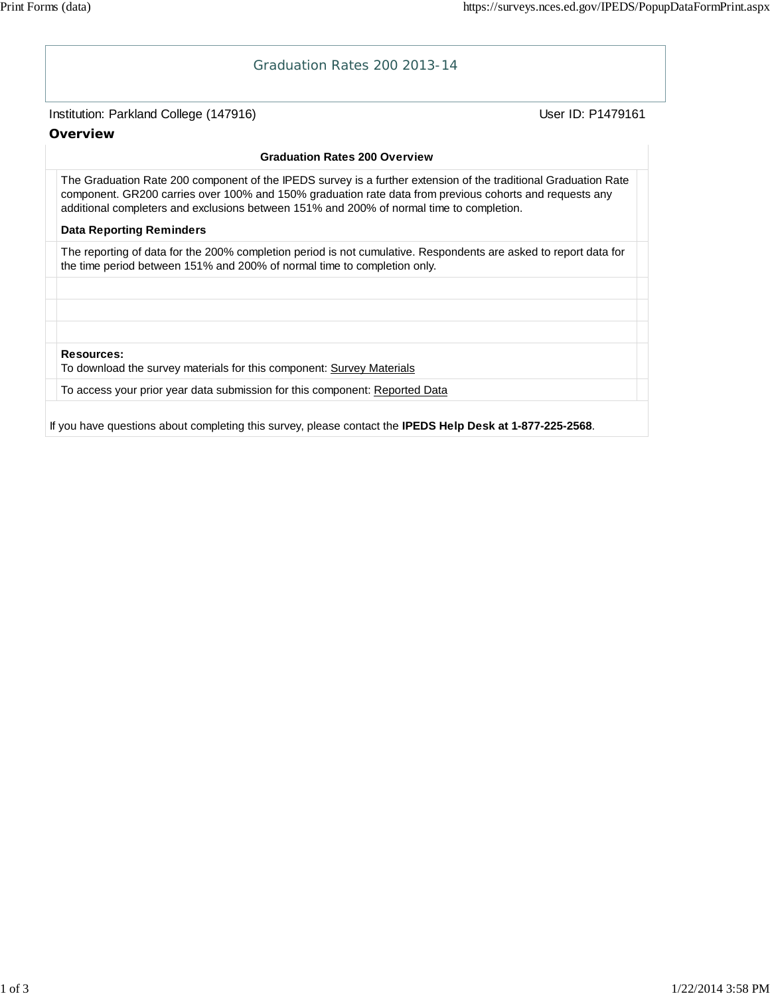

If you have questions about completing this survey, please contact the **IPEDS Help Desk at 1-877-225-2568**.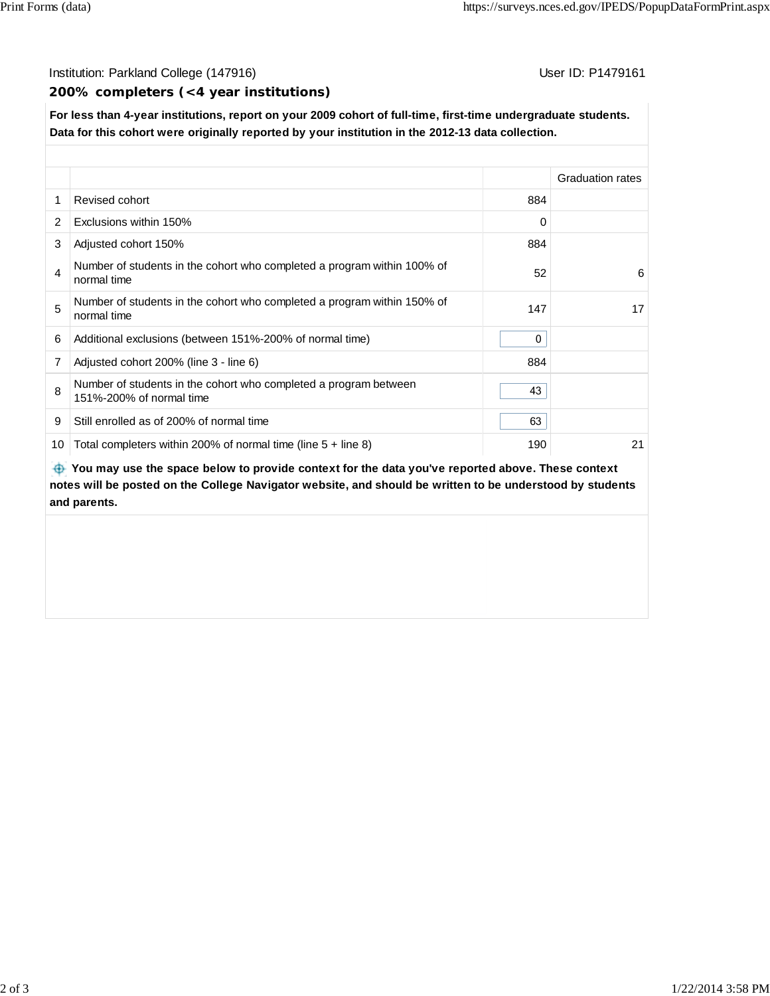Institution: Parkland College (147916) **Institution: Parkland College (147916**)

## **200% completers (<4 year institutions)**

**For less than 4-year institutions, report on your 2009 cohort of full-time, first-time undergraduate students. Data for this cohort were originally reported by your institution in the 2012-13 data collection.**

|    |                                                                                              |     | <b>Graduation rates</b> |  |
|----|----------------------------------------------------------------------------------------------|-----|-------------------------|--|
| 1  | Revised cohort                                                                               | 884 |                         |  |
| 2  | Exclusions within 150%                                                                       | 0   |                         |  |
| 3  | Adjusted cohort 150%                                                                         | 884 |                         |  |
| 4  | Number of students in the cohort who completed a program within 100% of<br>normal time       | 52  | 6                       |  |
| 5  | Number of students in the cohort who completed a program within 150% of<br>normal time       | 147 | 17                      |  |
| 6  | Additional exclusions (between 151%-200% of normal time)                                     | 0   |                         |  |
| 7  | Adjusted cohort 200% (line 3 - line 6)                                                       | 884 |                         |  |
| 8  | Number of students in the cohort who completed a program between<br>151%-200% of normal time | 43  |                         |  |
| 9  | Still enrolled as of 200% of normal time                                                     | 63  |                         |  |
| 10 | Total completers within 200% of normal time (line $5 +$ line 8)                              | 190 | 21                      |  |

 **You may use the space below to provide context for the data you've reported above. These context notes will be posted on the College Navigator website, and should be written to be understood by students and parents.**